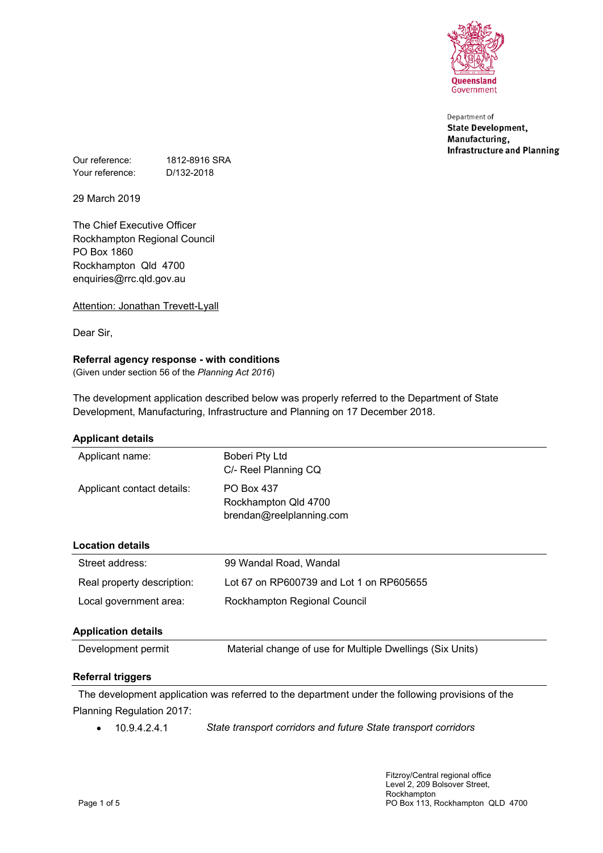

Department of **State Development,** Manufacturing, **Infrastructure and Planning** 

Our reference: 1812-8916 SRA Your reference: D/132-2018

29 March 2019

The Chief Executive Officer Rockhampton Regional Council PO Box 1860 Rockhampton Qld 4700 enquiries@rrc.qld.gov.au

Attention: Jonathan Trevett-Lyall

Dear Sir,

# **Referral agency response - with conditions**

(Given under section 56 of the *Planning Act 2016*)

The development application described below was properly referred to the Department of State Development, Manufacturing, Infrastructure and Planning on 17 December 2018.

### **Applicant details**

| <b>Referral triggers</b>   |                                                                       |  |
|----------------------------|-----------------------------------------------------------------------|--|
| Development permit         | Material change of use for Multiple Dwellings (Six Units)             |  |
| <b>Application details</b> |                                                                       |  |
| Local government area:     | Rockhampton Regional Council                                          |  |
| Real property description: | Lot 67 on RP600739 and Lot 1 on RP605655                              |  |
| Street address:            | 99 Wandal Road, Wandal                                                |  |
| <b>Location details</b>    |                                                                       |  |
| Applicant contact details: | <b>PO Box 437</b><br>Rockhampton Qld 4700<br>brendan@reelplanning.com |  |
| Applicant name:            | Boberi Pty Ltd<br>C/- Reel Planning CQ                                |  |

The development application was referred to the department under the following provisions of the Planning Regulation 2017:

10.9.4.2.4.1 *State transport corridors and future State transport corridors*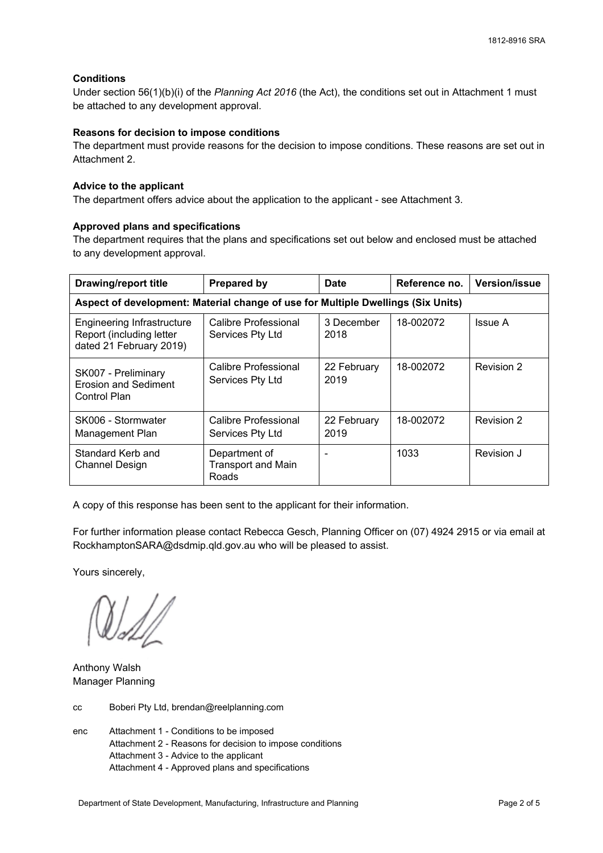### **Conditions**

Under section 56(1)(b)(i) of the *Planning Act 2016* (the Act), the conditions set out in Attachment 1 must be attached to any development approval.

### **Reasons for decision to impose conditions**

The department must provide reasons for the decision to impose conditions. These reasons are set out in Attachment 2.

### **Advice to the applicant**

The department offers advice about the application to the applicant - see Attachment 3.

### **Approved plans and specifications**

The department requires that the plans and specifications set out below and enclosed must be attached to any development approval.

| <b>Drawing/report title</b>                                                       | <b>Prepared by</b>                                  | <b>Date</b>         | Reference no. | <b>Version/issue</b> |
|-----------------------------------------------------------------------------------|-----------------------------------------------------|---------------------|---------------|----------------------|
| Aspect of development: Material change of use for Multiple Dwellings (Six Units)  |                                                     |                     |               |                      |
| Engineering Infrastructure<br>Report (including letter<br>dated 21 February 2019) | Calibre Professional<br>Services Pty Ltd            | 3 December<br>2018  | 18-002072     | Issue A              |
| SK007 - Preliminary<br>Erosion and Sediment<br>Control Plan                       | Calibre Professional<br>Services Pty Ltd            | 22 February<br>2019 | 18-002072     | Revision 2           |
| SK006 - Stormwater<br>Management Plan                                             | Calibre Professional<br>Services Pty Ltd            | 22 February<br>2019 | 18-002072     | Revision 2           |
| Standard Kerb and<br><b>Channel Design</b>                                        | Department of<br><b>Transport and Main</b><br>Roads |                     | 1033          | Revision J           |

A copy of this response has been sent to the applicant for their information.

For further information please contact Rebecca Gesch, Planning Officer on (07) 4924 2915 or via email at RockhamptonSARA@dsdmip.qld.gov.au who will be pleased to assist.

Yours sincerely,

Anthony Walsh Manager Planning

cc Boberi Pty Ltd, brendan@reelplanning.com

enc Attachment 1 - Conditions to be imposed Attachment 2 - Reasons for decision to impose conditions Attachment 3 - Advice to the applicant Attachment 4 - Approved plans and specifications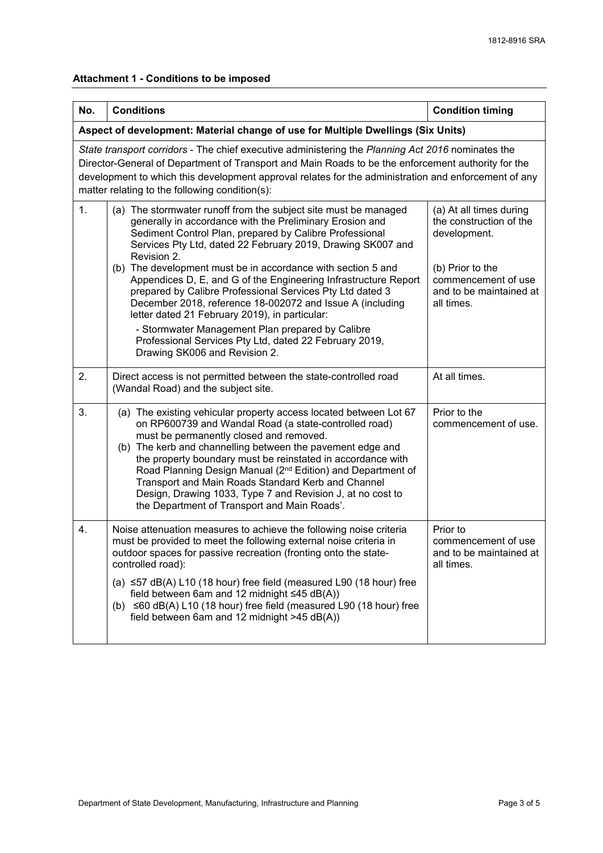# **Attachment 1 - Conditions to be imposed**

| No. | <b>Conditions</b>                                                                                                                                                                                                                                                                                                                                                                                                                                                                                                                                                                                                                                                                                                                  | <b>Condition timing</b>                                                                                                                                |  |
|-----|------------------------------------------------------------------------------------------------------------------------------------------------------------------------------------------------------------------------------------------------------------------------------------------------------------------------------------------------------------------------------------------------------------------------------------------------------------------------------------------------------------------------------------------------------------------------------------------------------------------------------------------------------------------------------------------------------------------------------------|--------------------------------------------------------------------------------------------------------------------------------------------------------|--|
|     | Aspect of development: Material change of use for Multiple Dwellings (Six Units)                                                                                                                                                                                                                                                                                                                                                                                                                                                                                                                                                                                                                                                   |                                                                                                                                                        |  |
|     | State transport corridors - The chief executive administering the Planning Act 2016 nominates the<br>Director-General of Department of Transport and Main Roads to be the enforcement authority for the<br>development to which this development approval relates for the administration and enforcement of any<br>matter relating to the following condition(s):                                                                                                                                                                                                                                                                                                                                                                  |                                                                                                                                                        |  |
| 1.  | (a) The stormwater runoff from the subject site must be managed<br>generally in accordance with the Preliminary Erosion and<br>Sediment Control Plan, prepared by Calibre Professional<br>Services Pty Ltd, dated 22 February 2019, Drawing SK007 and<br>Revision 2.<br>(b) The development must be in accordance with section 5 and<br>Appendices D, E, and G of the Engineering Infrastructure Report<br>prepared by Calibre Professional Services Pty Ltd dated 3<br>December 2018, reference 18-002072 and Issue A (including<br>letter dated 21 February 2019), in particular:<br>- Stormwater Management Plan prepared by Calibre<br>Professional Services Pty Ltd, dated 22 February 2019,<br>Drawing SK006 and Revision 2. | (a) At all times during<br>the construction of the<br>development.<br>(b) Prior to the<br>commencement of use<br>and to be maintained at<br>all times. |  |
| 2.  | Direct access is not permitted between the state-controlled road<br>(Wandal Road) and the subject site.                                                                                                                                                                                                                                                                                                                                                                                                                                                                                                                                                                                                                            | At all times.                                                                                                                                          |  |
| 3.  | (a) The existing vehicular property access located between Lot 67<br>on RP600739 and Wandal Road (a state-controlled road)<br>must be permanently closed and removed.<br>(b) The kerb and channelling between the pavement edge and<br>the property boundary must be reinstated in accordance with<br>Road Planning Design Manual (2 <sup>nd</sup> Edition) and Department of<br>Transport and Main Roads Standard Kerb and Channel<br>Design, Drawing 1033, Type 7 and Revision J, at no cost to<br>the Department of Transport and Main Roads'.                                                                                                                                                                                  | Prior to the<br>commencement of use.                                                                                                                   |  |
| 4.  | Noise attenuation measures to achieve the following noise criteria<br>must be provided to meet the following external noise criteria in<br>outdoor spaces for passive recreation (fronting onto the state-<br>controlled road):<br>(a) $\leq$ 57 dB(A) L10 (18 hour) free field (measured L90 (18 hour) free<br>field between 6am and 12 midnight $\leq 45$ dB(A))<br>(b) ≤60 dB(A) L10 (18 hour) free field (measured L90 (18 hour) free<br>field between 6am and 12 midnight >45 dB(A))                                                                                                                                                                                                                                          | Prior to<br>commencement of use<br>and to be maintained at<br>all times.                                                                               |  |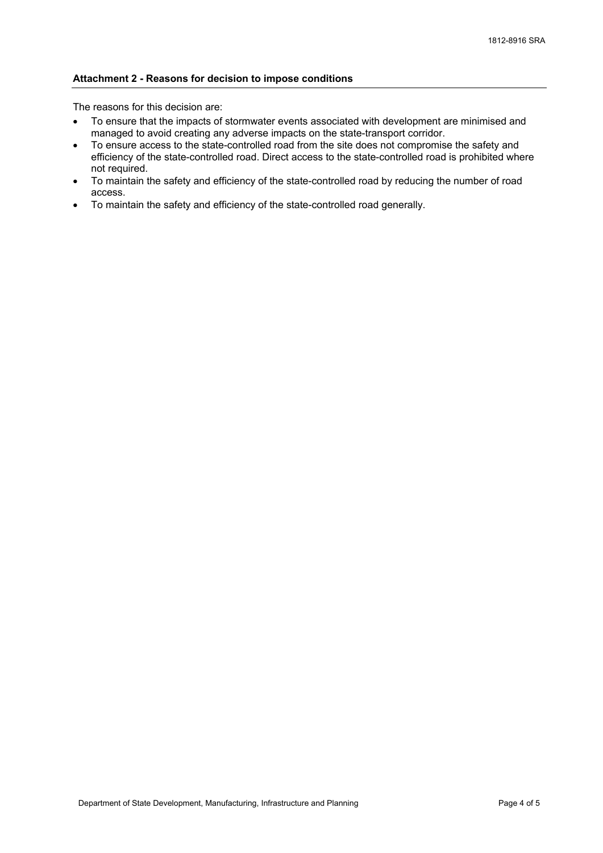### **Attachment 2 - Reasons for decision to impose conditions**

The reasons for this decision are:

- To ensure that the impacts of stormwater events associated with development are minimised and managed to avoid creating any adverse impacts on the state-transport corridor.
- To ensure access to the state-controlled road from the site does not compromise the safety and efficiency of the state-controlled road. Direct access to the state-controlled road is prohibited where not required.
- To maintain the safety and efficiency of the state-controlled road by reducing the number of road access.
- To maintain the safety and efficiency of the state-controlled road generally.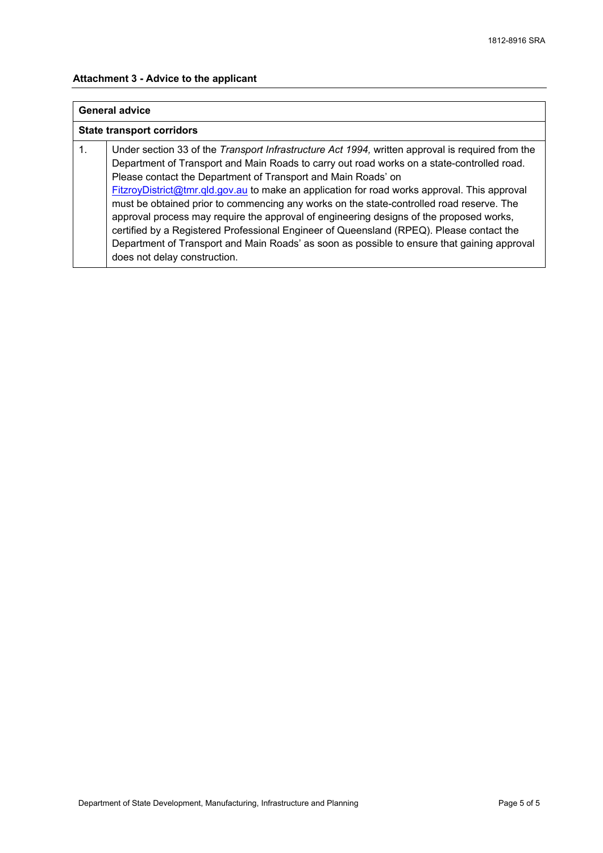### **Attachment 3 - Advice to the applicant**

# **General advice**

### **State transport corridors**

1. Under section 33 of the *Transport Infrastructure Act 1994,* written approval is required from the Department of Transport and Main Roads to carry out road works on a state-controlled road. Please contact the Department of Transport and Main Roads' on [FitzroyDistrict@tmr.qld.gov.au](mailto://FitzroyDistrict@tmr.qld.gov.au) to make an application for road works approval. This approval must be obtained prior to commencing any works on the state-controlled road reserve. The approval process may require the approval of engineering designs of the proposed works, certified by a Registered Professional Engineer of Queensland (RPEQ). Please contact the Department of Transport and Main Roads' as soon as possible to ensure that gaining approval does not delay construction.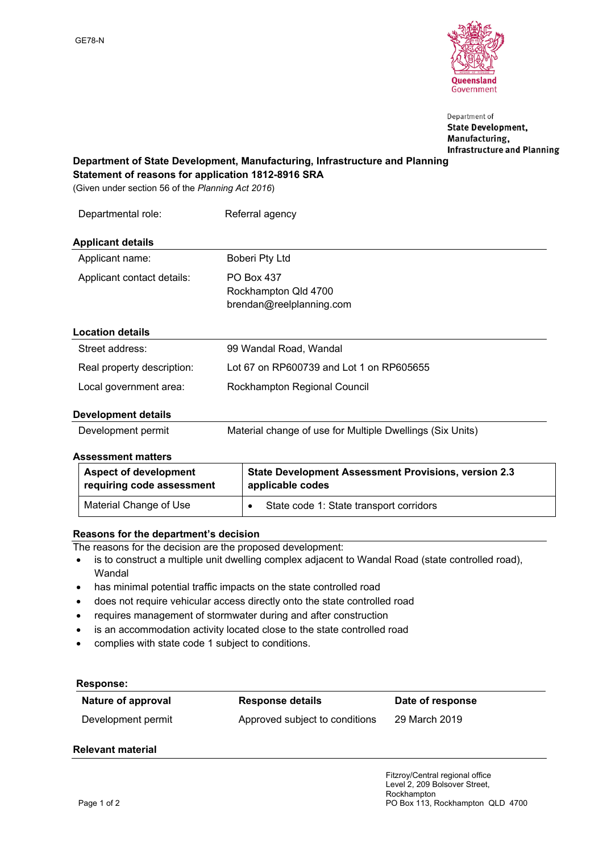

Department of **State Development,** Manufacturing, **Infrastructure and Planning** 

### **Department of State Development, Manufacturing, Infrastructure and Planning Statement of reasons for application 1812-8916 SRA**

(Given under section 56 of the *Planning Act 2016*)

| Departmental role:         | Referral agency                                                       |
|----------------------------|-----------------------------------------------------------------------|
| <b>Applicant details</b>   |                                                                       |
| Applicant name:            | Boberi Pty Ltd                                                        |
| Applicant contact details: | <b>PO Box 437</b><br>Rockhampton Qld 4700<br>brendan@reelplanning.com |
| <b>Location details</b>    |                                                                       |
| Street address:            | 99 Wandal Road, Wandal                                                |
| Real property description: | Lot 67 on RP600739 and Lot 1 on RP605655                              |
| Local government area:     | Rockhampton Regional Council                                          |
| Dovolonmont dotaile        |                                                                       |

### **Development details**

| Development permit | Material change of use for Multiple Dwellings (Six Units) |
|--------------------|-----------------------------------------------------------|
|                    |                                                           |

### **Assessment matters**

| <b>Aspect of development</b> | <b>State Development Assessment Provisions, version 2.3</b> |
|------------------------------|-------------------------------------------------------------|
| requiring code assessment    | applicable codes                                            |
| Material Change of Use       | State code 1: State transport corridors                     |

## **Reasons for the department's decision**

The reasons for the decision are the proposed development:

- is to construct a multiple unit dwelling complex adjacent to Wandal Road (state controlled road), Wandal
- has minimal potential traffic impacts on the state controlled road
- does not require vehicular access directly onto the state controlled road
- requires management of stormwater during and after construction
- is an accommodation activity located close to the state controlled road
- complies with state code 1 subject to conditions.

### **Response:**

| Nature of approval | <b>Response details</b>        | Date of response |
|--------------------|--------------------------------|------------------|
| Development permit | Approved subject to conditions | 29 March 2019    |

# **Relevant material**